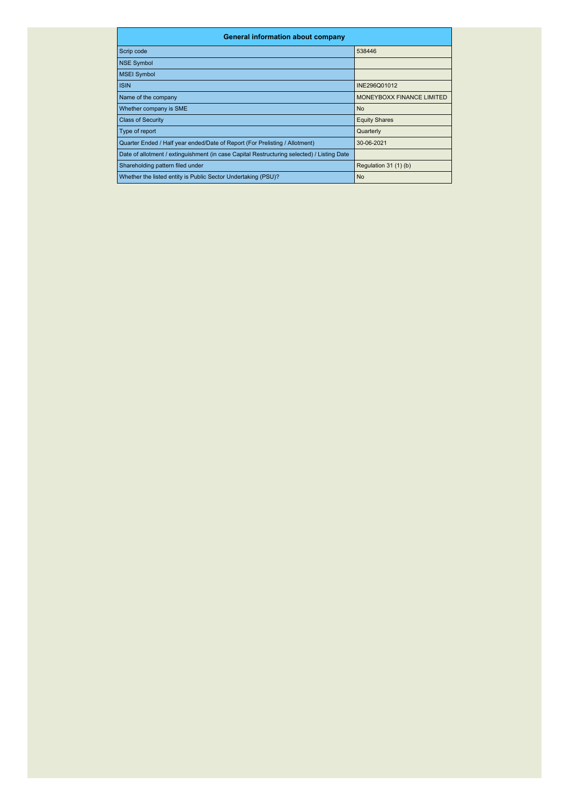| <b>General information about company</b>                                                   |                           |  |  |  |  |  |  |  |  |
|--------------------------------------------------------------------------------------------|---------------------------|--|--|--|--|--|--|--|--|
| Scrip code                                                                                 | 538446                    |  |  |  |  |  |  |  |  |
| <b>NSE Symbol</b>                                                                          |                           |  |  |  |  |  |  |  |  |
| <b>MSEI Symbol</b>                                                                         |                           |  |  |  |  |  |  |  |  |
| <b>ISIN</b>                                                                                | INE296Q01012              |  |  |  |  |  |  |  |  |
| Name of the company                                                                        | MONEYBOXX FINANCE LIMITED |  |  |  |  |  |  |  |  |
| Whether company is SME                                                                     | <b>No</b>                 |  |  |  |  |  |  |  |  |
| <b>Class of Security</b>                                                                   | <b>Equity Shares</b>      |  |  |  |  |  |  |  |  |
| Type of report                                                                             | Quarterly                 |  |  |  |  |  |  |  |  |
| Quarter Ended / Half year ended/Date of Report (For Prelisting / Allotment)                | 30-06-2021                |  |  |  |  |  |  |  |  |
| Date of allotment / extinguishment (in case Capital Restructuring selected) / Listing Date |                           |  |  |  |  |  |  |  |  |
| Shareholding pattern filed under                                                           | Regulation 31 (1) (b)     |  |  |  |  |  |  |  |  |
| Whether the listed entity is Public Sector Undertaking (PSU)?                              | <b>No</b>                 |  |  |  |  |  |  |  |  |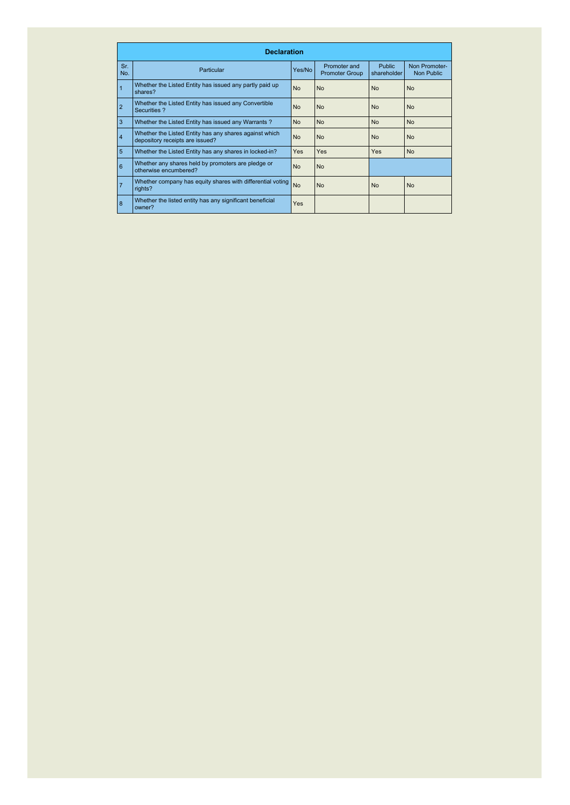|                | <b>Declaration</b>                                                                        |           |                                       |                              |                             |
|----------------|-------------------------------------------------------------------------------------------|-----------|---------------------------------------|------------------------------|-----------------------------|
| Sr.<br>No.     | Particular                                                                                | Yes/No    | Promoter and<br><b>Promoter Group</b> | <b>Public</b><br>shareholder | Non Promoter-<br>Non Public |
|                | Whether the Listed Entity has issued any partly paid up<br>shares?                        | <b>No</b> | <b>No</b>                             | <b>No</b>                    | <b>No</b>                   |
| $\overline{2}$ | Whether the Listed Entity has issued any Convertible<br>Securities ?                      | <b>No</b> | <b>No</b>                             | <b>No</b>                    | <b>No</b>                   |
| 3              | Whether the Listed Entity has issued any Warrants?                                        | <b>No</b> | <b>No</b>                             | <b>No</b>                    | <b>No</b>                   |
| 4              | Whether the Listed Entity has any shares against which<br>depository receipts are issued? | <b>No</b> | <b>No</b>                             | <b>No</b>                    | <b>No</b>                   |
| 5              | Whether the Listed Entity has any shares in locked-in?                                    | Yes.      | Yes                                   | <b>Yes</b>                   | <b>No</b>                   |
| 6              | Whether any shares held by promoters are pledge or<br>otherwise encumbered?               | <b>No</b> | <b>No</b>                             |                              |                             |
| $\overline{7}$ | Whether company has equity shares with differential voting<br>rights?                     | <b>No</b> | <b>No</b>                             | <b>No</b>                    | <b>No</b>                   |
| 8              | Whether the listed entity has any significant beneficial<br>owner?                        | Yes       |                                       |                              |                             |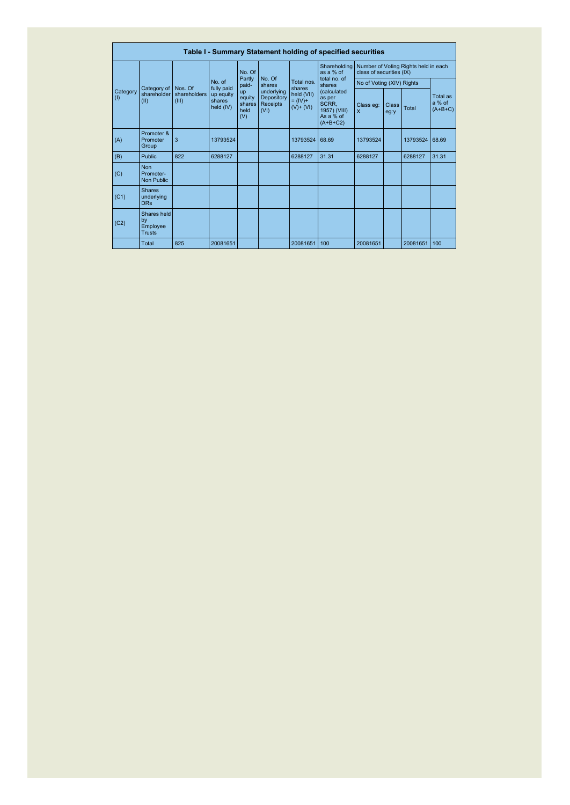|                 |                                                |                       |                                                |                                              |                                              |                                            | Table I - Summary Statement holding of specified securities               |                                                                  |                      |              |                                 |  |  |
|-----------------|------------------------------------------------|-----------------------|------------------------------------------------|----------------------------------------------|----------------------------------------------|--------------------------------------------|---------------------------------------------------------------------------|------------------------------------------------------------------|----------------------|--------------|---------------------------------|--|--|
|                 |                                                |                       |                                                | No. Of                                       | No. Of<br>shares                             | Total nos.<br>shares                       | Shareholding<br>as a % of<br>total no. of<br>shares                       | Number of Voting Rights held in each<br>class of securities (IX) |                      |              |                                 |  |  |
|                 |                                                |                       | No. of                                         | Partly<br>paid-                              |                                              |                                            |                                                                           | No of Voting (XIV) Rights                                        |                      |              |                                 |  |  |
| Category<br>(1) | Category of Nos. Of<br>shareholder<br>(II)     | shareholders<br>(III) | fully paid<br>up equity<br>shares<br>held (IV) | <b>up</b><br>equity<br>shares<br>held<br>(V) | underlying<br>Depository<br>Receipts<br>(VI) | held (VII)<br>$= (IV) +$<br>$(V)$ + $(VI)$ | (calculated<br>as per<br>SCRR,<br>1957) (VIII)<br>As a % of<br>$(A+B+C2)$ | Class eq:<br>$\mathsf{x}$                                        | <b>Class</b><br>eg:y | Total        | Total as<br>a % of<br>$(A+B+C)$ |  |  |
| (A)             | Promoter &<br>Promoter<br>Group                | 3                     | 13793524                                       |                                              |                                              | 13793524                                   | 68.69                                                                     | 13793524                                                         |                      | 13793524     | 68.69                           |  |  |
| (B)             | <b>Public</b>                                  | 822                   | 6288127                                        |                                              |                                              | 6288127                                    | 31.31                                                                     | 6288127                                                          |                      | 6288127      | 31.31                           |  |  |
| (C)             | <b>Non</b><br>Promoter-<br>Non Public          |                       |                                                |                                              |                                              |                                            |                                                                           |                                                                  |                      |              |                                 |  |  |
| (C1)            | <b>Shares</b><br>underlying<br><b>DRs</b>      |                       |                                                |                                              |                                              |                                            |                                                                           |                                                                  |                      |              |                                 |  |  |
| (C2)            | Shares held<br>by<br>Employee<br><b>Trusts</b> |                       |                                                |                                              |                                              |                                            |                                                                           |                                                                  |                      |              |                                 |  |  |
|                 | <b>Total</b>                                   | 825                   | 20081651                                       |                                              |                                              | 20081651                                   | 100                                                                       | 20081651                                                         |                      | 20081651 100 |                                 |  |  |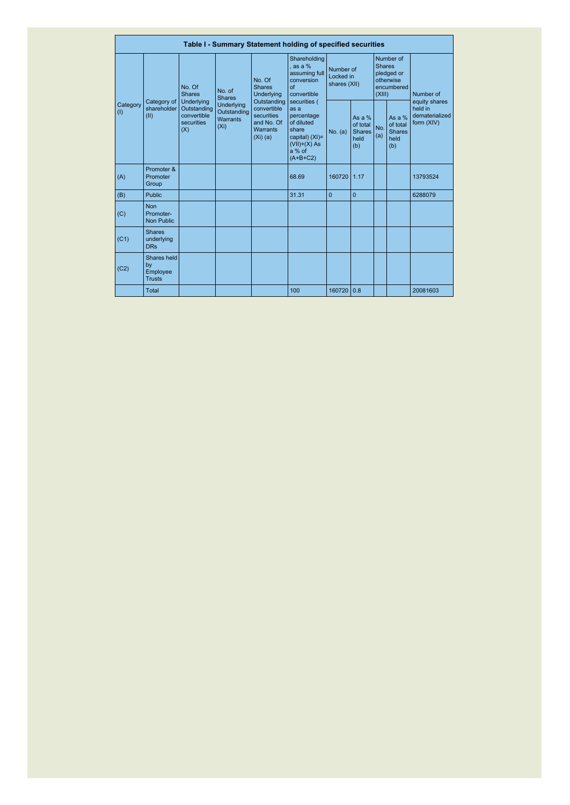|                               |                                                |                                                                      |                                                                   |                                                                                                                                  | Table I - Summary Statement holding of specified securities                                                           |                                        |                                                      |                                                                               |                                                    |                                                          |  |
|-------------------------------|------------------------------------------------|----------------------------------------------------------------------|-------------------------------------------------------------------|----------------------------------------------------------------------------------------------------------------------------------|-----------------------------------------------------------------------------------------------------------------------|----------------------------------------|------------------------------------------------------|-------------------------------------------------------------------------------|----------------------------------------------------|----------------------------------------------------------|--|
|                               |                                                | No. Of<br><b>Shares</b>                                              | No. of<br><b>Shares</b>                                           | No. Of<br><b>Shares</b><br>Underlying<br>Outstanding<br>convertible<br>securities<br>and No. Of<br><b>Warrants</b><br>$(Xi)$ (a) | Shareholding<br>as a %<br>assuming full<br>conversion<br>of<br>convertible                                            | Number of<br>Locked in<br>shares (XII) |                                                      | Number of<br><b>Shares</b><br>pledged or<br>otherwise<br>encumbered<br>(XIII) |                                                    | Number of                                                |  |
| Category<br>(1)<br>(A)<br>(B) | Category of<br>shareholder<br>(II)             | <b>Underlying</b><br>Outstanding<br>convertible<br>securities<br>(X) | <b>Underlying</b><br>Outstanding<br>Warrants<br>(X <sub>i</sub> ) |                                                                                                                                  | securities (<br>as a<br>percentage<br>of diluted<br>share<br>capital) (XI)=<br>$(VII)+(X)$ As<br>a % of<br>$(A+B+C2)$ | No. (a)                                | As a $%$<br>of total<br><b>Shares</b><br>held<br>(b) | No.<br>(a)                                                                    | As a %<br>of total<br><b>Shares</b><br>held<br>(b) | equity shares<br>held in<br>dematerialized<br>form (XIV) |  |
|                               | Promoter &<br>Promoter<br>Group                |                                                                      |                                                                   |                                                                                                                                  | 68.69                                                                                                                 | 160720                                 | 1.17                                                 |                                                                               |                                                    | 13793524                                                 |  |
|                               | <b>Public</b>                                  |                                                                      |                                                                   |                                                                                                                                  | 31.31                                                                                                                 | $\Omega$                               | $\Omega$                                             |                                                                               |                                                    | 6288079                                                  |  |
| (C)                           | <b>Non</b><br>Promoter-<br><b>Non Public</b>   |                                                                      |                                                                   |                                                                                                                                  |                                                                                                                       |                                        |                                                      |                                                                               |                                                    |                                                          |  |
| (C1)                          | <b>Shares</b><br>underlying<br><b>DRs</b>      |                                                                      |                                                                   |                                                                                                                                  |                                                                                                                       |                                        |                                                      |                                                                               |                                                    |                                                          |  |
| (C2)                          | Shares held<br>by<br>Employee<br><b>Trusts</b> |                                                                      |                                                                   |                                                                                                                                  |                                                                                                                       |                                        |                                                      |                                                                               |                                                    |                                                          |  |
|                               | Total                                          |                                                                      |                                                                   |                                                                                                                                  | 100                                                                                                                   | 160720                                 | 0.8                                                  |                                                                               |                                                    | 20081603                                                 |  |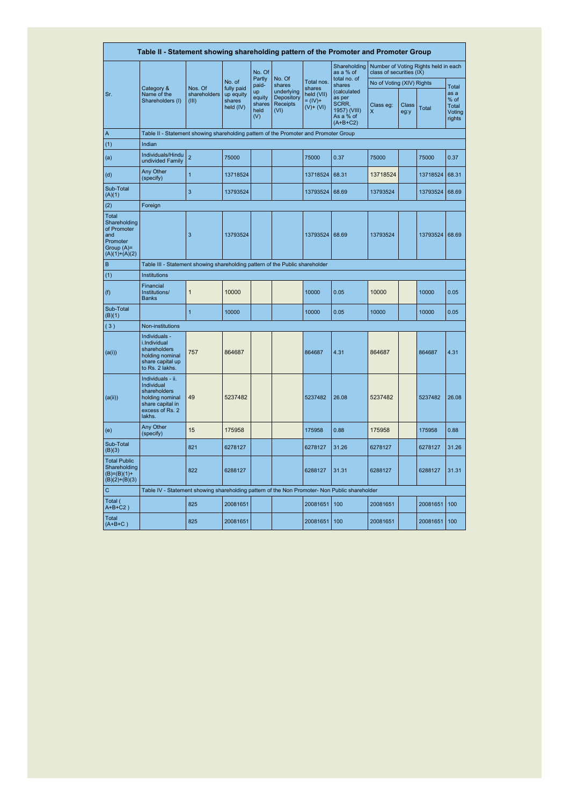|                                                                                          | Table II - Statement showing shareholding pattern of the Promoter and Promoter Group                                |                                                                              |                                                |                                       |                                              |                                                   |                                                                           |                                                                  |               |          |                                                           |  |  |
|------------------------------------------------------------------------------------------|---------------------------------------------------------------------------------------------------------------------|------------------------------------------------------------------------------|------------------------------------------------|---------------------------------------|----------------------------------------------|---------------------------------------------------|---------------------------------------------------------------------------|------------------------------------------------------------------|---------------|----------|-----------------------------------------------------------|--|--|
|                                                                                          |                                                                                                                     |                                                                              |                                                | No. Of                                |                                              |                                                   | Shareholding<br>as a % of                                                 | Number of Voting Rights held in each<br>class of securities (IX) |               |          |                                                           |  |  |
|                                                                                          |                                                                                                                     |                                                                              | No. of                                         | Partly<br>paid-                       | No. Of<br>shares                             | Total nos.                                        | total no. of<br>shares                                                    | No of Voting (XIV) Rights                                        |               |          |                                                           |  |  |
| Sr.                                                                                      | Category &<br>Name of the<br>Shareholders (I)                                                                       | Nos. Of<br>shareholders<br>(III)                                             | fully paid<br>up equity<br>shares<br>held (IV) | up<br>equity<br>shares<br>held<br>(V) | underlying<br>Depository<br>Receipts<br>(VI) | shares<br>held (VII)<br>$= (IV) +$<br>$(V)+ (VI)$ | (calculated<br>as per<br>SCRR,<br>1957) (VIII)<br>As a % of<br>$(A+B+C2)$ | Class eg:<br>X                                                   | Class<br>eg:y | Total    | <b>Total</b><br>as a<br>% of<br>Total<br>Voting<br>rights |  |  |
| $\overline{A}$                                                                           | Table II - Statement showing shareholding pattern of the Promoter and Promoter Group                                |                                                                              |                                                |                                       |                                              |                                                   |                                                                           |                                                                  |               |          |                                                           |  |  |
| (1)                                                                                      | Indian                                                                                                              |                                                                              |                                                |                                       |                                              |                                                   |                                                                           |                                                                  |               |          |                                                           |  |  |
| (a)                                                                                      | Individuals/Hindu<br>undivided Family                                                                               | $\overline{2}$                                                               | 75000                                          |                                       |                                              | 75000                                             | 0.37                                                                      | 75000                                                            |               | 75000    | 0.37                                                      |  |  |
| (d)                                                                                      | Any Other<br>(specify)                                                                                              | $\overline{1}$                                                               | 13718524                                       |                                       |                                              | 13718524                                          | 68.31                                                                     | 13718524                                                         |               | 13718524 | 68.31                                                     |  |  |
| Sub-Total<br>(A)(1)                                                                      |                                                                                                                     | 3                                                                            | 13793524                                       |                                       |                                              | 13793524                                          | 68.69                                                                     | 13793524                                                         |               | 13793524 | 68.69                                                     |  |  |
| (2)                                                                                      | Foreign                                                                                                             |                                                                              |                                                |                                       |                                              |                                                   |                                                                           |                                                                  |               |          |                                                           |  |  |
| Total<br>Shareholding<br>of Promoter<br>and<br>Promoter<br>Group (A)=<br>$(A)(1)+(A)(2)$ |                                                                                                                     | 3                                                                            | 13793524                                       |                                       |                                              | 13793524                                          | 68.69                                                                     | 13793524                                                         |               | 13793524 | 68.69                                                     |  |  |
| B                                                                                        |                                                                                                                     | Table III - Statement showing shareholding pattern of the Public shareholder |                                                |                                       |                                              |                                                   |                                                                           |                                                                  |               |          |                                                           |  |  |
| (1)                                                                                      | Institutions                                                                                                        |                                                                              |                                                |                                       |                                              |                                                   |                                                                           |                                                                  |               |          |                                                           |  |  |
| (f)                                                                                      | Financial<br>Institutions/<br><b>Banks</b>                                                                          | $\overline{1}$                                                               | 10000                                          |                                       |                                              | 10000                                             | 0.05                                                                      | 10000                                                            |               | 10000    | 0.05                                                      |  |  |
| Sub-Total<br>(B)(1)                                                                      |                                                                                                                     | $\overline{1}$                                                               | 10000                                          |                                       |                                              | 10000                                             | 0.05                                                                      | 10000                                                            |               | 10000    | 0.05                                                      |  |  |
| (3)                                                                                      | Non-institutions                                                                                                    |                                                                              |                                                |                                       |                                              |                                                   |                                                                           |                                                                  |               |          |                                                           |  |  |
| (a(i))                                                                                   | Individuals -<br>i.Individual<br>shareholders<br>holding nominal<br>share capital up<br>to Rs. 2 lakhs.             | 757                                                                          | 864687                                         |                                       |                                              | 864687                                            | 4.31                                                                      | 864687                                                           |               | 864687   | 4.31                                                      |  |  |
| (a(i))                                                                                   | Individuals - ii.<br>Individual<br>shareholders<br>holding nominal<br>share capital in<br>excess of Rs. 2<br>lakhs. | 49                                                                           | 5237482                                        |                                       |                                              | 5237482                                           | 26.08                                                                     | 5237482                                                          |               | 5237482  | 26.08                                                     |  |  |
| (e)                                                                                      | Any Other<br>(specify)                                                                                              | 15                                                                           | 175958                                         |                                       |                                              | 175958                                            | 0.88                                                                      | 175958                                                           |               | 175958   | 0.88                                                      |  |  |
| Sub-Total<br>(B)(3)                                                                      |                                                                                                                     | 821                                                                          | 6278127                                        |                                       |                                              | 6278127                                           | 31.26                                                                     | 6278127                                                          |               | 6278127  | 31.26                                                     |  |  |
| <b>Total Public</b><br>Shareholding<br>$(B)=(B)(1)+$<br>$(B)(2)+(B)(3)$                  |                                                                                                                     | 822                                                                          | 6288127                                        |                                       |                                              | 6288127                                           | 31.31                                                                     | 6288127                                                          |               | 6288127  | 31.31                                                     |  |  |
| $\mathbf C$                                                                              | Table IV - Statement showing shareholding pattern of the Non Promoter- Non Public shareholder                       |                                                                              |                                                |                                       |                                              |                                                   |                                                                           |                                                                  |               |          |                                                           |  |  |
| Total (<br>$A+B+C2$ )                                                                    |                                                                                                                     | 825                                                                          | 20081651                                       |                                       |                                              | 20081651                                          | 100                                                                       | 20081651                                                         |               | 20081651 | 100                                                       |  |  |
| Total<br>$(A+B+C)$                                                                       |                                                                                                                     | 825                                                                          | 20081651                                       |                                       |                                              | 20081651                                          | 100                                                                       | 20081651                                                         |               | 20081651 | 100                                                       |  |  |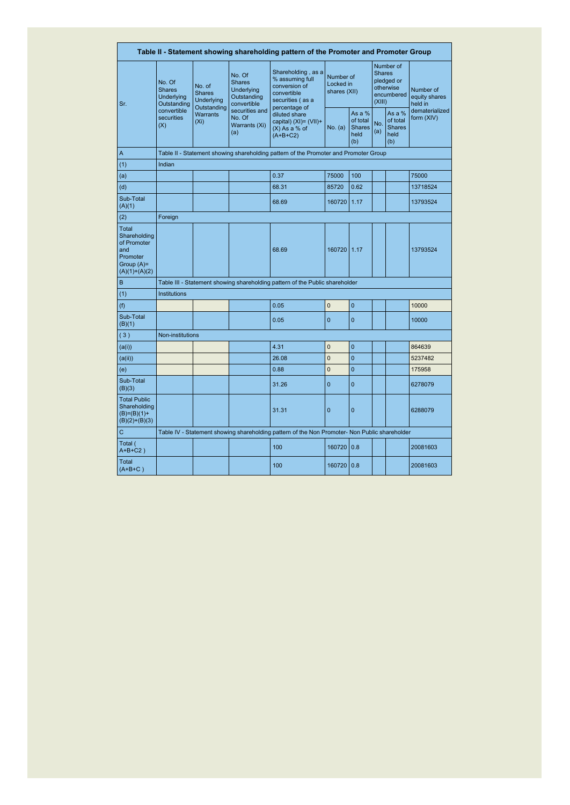|                                                                                                                                                                                                                                                                                                                                               |                                                      |                                                                                   |                                                                     | Table II - Statement showing shareholding pattern of the Promoter and Promoter Group          |                                        |                                                    |                                                                               |                                                    |                                       |
|-----------------------------------------------------------------------------------------------------------------------------------------------------------------------------------------------------------------------------------------------------------------------------------------------------------------------------------------------|------------------------------------------------------|-----------------------------------------------------------------------------------|---------------------------------------------------------------------|-----------------------------------------------------------------------------------------------|----------------------------------------|----------------------------------------------------|-------------------------------------------------------------------------------|----------------------------------------------------|---------------------------------------|
| Sr.                                                                                                                                                                                                                                                                                                                                           | No. Of<br><b>Shares</b><br>Underlying<br>Outstanding | No. of<br><b>Shares</b><br><b>Underlying</b><br>Outstanding                       | No. Of<br><b>Shares</b><br>Underlying<br>Outstanding<br>convertible | Shareholding, as a<br>% assuming full<br>conversion of<br>convertible<br>securities (as a     | Number of<br>Locked in<br>shares (XII) |                                                    | Number of<br><b>Shares</b><br>pledged or<br>otherwise<br>encumbered<br>(XIII) |                                                    | Number of<br>equity shares<br>held in |
| A<br>(1)<br>(a)<br>(d)<br>Sub-Total<br>(A)(1)<br>(2)<br><b>Total</b><br>Shareholding<br>of Promoter<br>and<br>Promoter<br>Group $(A)=$<br>$(A)(1)+(A)(2)$<br>B<br>(1)<br>(f)<br>Sub-Total<br>(B)(1)<br>(3)<br>(a(i))<br>(a(ii))<br>(e)<br>Sub-Total<br>(B)(3)<br><b>Total Public</b><br>Shareholding<br>$(B)=(B)(1)+$<br>$(B)(2)+(B)(3)$<br>C | convertible<br>securities<br>(X)                     | securities and<br>Warrants<br>No. Of<br>(X <sub>i</sub> )<br>Warrants (Xi)<br>(a) |                                                                     | percentage of<br>diluted share<br>capital) (XI)= (VII)+<br>$(X)$ As a % of<br>$(A+B+C2)$      | No. (a)                                | As a %<br>of total<br><b>Shares</b><br>held<br>(b) | No.<br>(a)                                                                    | As a %<br>of total<br><b>Shares</b><br>held<br>(b) | dematerialized<br>form (XIV)          |
|                                                                                                                                                                                                                                                                                                                                               |                                                      |                                                                                   |                                                                     | Table II - Statement showing shareholding pattern of the Promoter and Promoter Group          |                                        |                                                    |                                                                               |                                                    |                                       |
|                                                                                                                                                                                                                                                                                                                                               | Indian                                               |                                                                                   |                                                                     |                                                                                               |                                        |                                                    |                                                                               |                                                    |                                       |
|                                                                                                                                                                                                                                                                                                                                               |                                                      |                                                                                   |                                                                     | 0.37                                                                                          | 75000                                  | 100                                                |                                                                               |                                                    | 75000                                 |
|                                                                                                                                                                                                                                                                                                                                               |                                                      |                                                                                   |                                                                     | 68.31                                                                                         | 85720                                  | 0.62                                               |                                                                               |                                                    | 13718524                              |
|                                                                                                                                                                                                                                                                                                                                               |                                                      |                                                                                   |                                                                     | 68.69                                                                                         | 160720                                 | 1.17                                               |                                                                               |                                                    | 13793524                              |
|                                                                                                                                                                                                                                                                                                                                               | Foreign                                              |                                                                                   |                                                                     |                                                                                               |                                        |                                                    |                                                                               |                                                    |                                       |
|                                                                                                                                                                                                                                                                                                                                               |                                                      |                                                                                   |                                                                     | 68.69                                                                                         | 160720                                 | 1.17                                               |                                                                               |                                                    | 13793524                              |
|                                                                                                                                                                                                                                                                                                                                               |                                                      |                                                                                   |                                                                     | Table III - Statement showing shareholding pattern of the Public shareholder                  |                                        |                                                    |                                                                               |                                                    |                                       |
|                                                                                                                                                                                                                                                                                                                                               | Institutions                                         |                                                                                   |                                                                     |                                                                                               |                                        |                                                    |                                                                               |                                                    |                                       |
|                                                                                                                                                                                                                                                                                                                                               |                                                      |                                                                                   |                                                                     | 0.05                                                                                          | $\mathbf{0}$                           | $\mathbf 0$                                        |                                                                               |                                                    | 10000                                 |
|                                                                                                                                                                                                                                                                                                                                               |                                                      |                                                                                   |                                                                     | 0.05                                                                                          | $\overline{0}$                         | $\overline{0}$                                     |                                                                               |                                                    | 10000                                 |
|                                                                                                                                                                                                                                                                                                                                               | Non-institutions                                     |                                                                                   |                                                                     |                                                                                               |                                        |                                                    |                                                                               |                                                    |                                       |
|                                                                                                                                                                                                                                                                                                                                               |                                                      |                                                                                   |                                                                     | 4.31                                                                                          | $\overline{0}$                         | $\overline{0}$                                     |                                                                               |                                                    | 864639                                |
|                                                                                                                                                                                                                                                                                                                                               |                                                      |                                                                                   |                                                                     | 26.08                                                                                         | $\overline{0}$                         | $\overline{0}$                                     |                                                                               |                                                    | 5237482                               |
|                                                                                                                                                                                                                                                                                                                                               |                                                      |                                                                                   |                                                                     | 0.88                                                                                          | $\overline{0}$                         | $\overline{0}$                                     |                                                                               |                                                    | 175958                                |
|                                                                                                                                                                                                                                                                                                                                               |                                                      |                                                                                   |                                                                     | 31.26                                                                                         | $\mathbf 0$                            | $\mathbf 0$                                        |                                                                               |                                                    | 6278079                               |
|                                                                                                                                                                                                                                                                                                                                               |                                                      |                                                                                   |                                                                     | 31.31                                                                                         | $\overline{0}$                         | $\mathbf{0}$                                       |                                                                               |                                                    | 6288079                               |
|                                                                                                                                                                                                                                                                                                                                               |                                                      |                                                                                   |                                                                     | Table IV - Statement showing shareholding pattern of the Non Promoter- Non Public shareholder |                                        |                                                    |                                                                               |                                                    |                                       |
| Total (<br>$A+B+C2$ )                                                                                                                                                                                                                                                                                                                         |                                                      |                                                                                   |                                                                     | 100                                                                                           | 160720                                 | 0.8                                                |                                                                               |                                                    | 20081603                              |
| Total<br>$(A+B+C)$                                                                                                                                                                                                                                                                                                                            |                                                      |                                                                                   |                                                                     | 100                                                                                           | 160720                                 | 0.8                                                |                                                                               |                                                    | 20081603                              |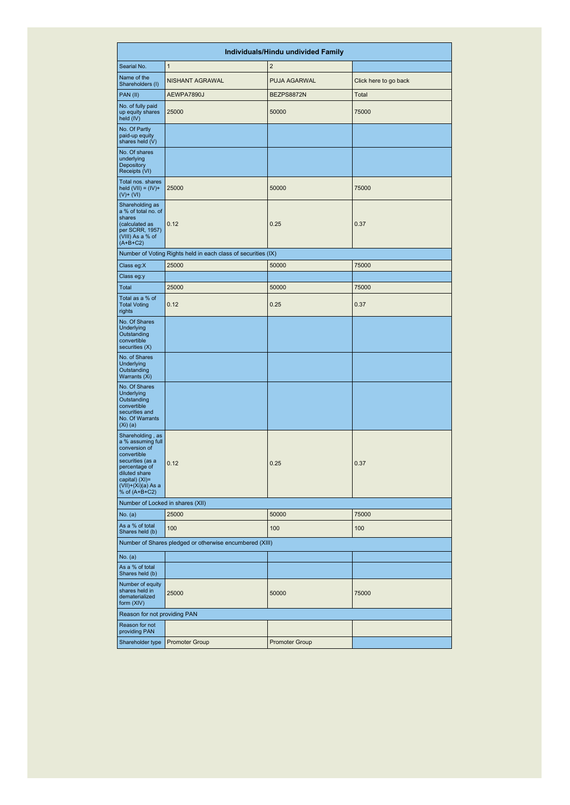|                                                                                                                                                                                        |                                                               | Individuals/Hindu undivided Family |                       |
|----------------------------------------------------------------------------------------------------------------------------------------------------------------------------------------|---------------------------------------------------------------|------------------------------------|-----------------------|
| Searial No.                                                                                                                                                                            | $\mathbf{1}$                                                  | $\overline{2}$                     |                       |
| Name of the<br>Shareholders (I)                                                                                                                                                        | NISHANT AGRAWAL                                               | <b>PUJA AGARWAL</b>                | Click here to go back |
| PAN (II)                                                                                                                                                                               | AEWPA7890J                                                    | BEZPS8872N                         | Total                 |
| No. of fully paid<br>up equity shares<br>held (IV)                                                                                                                                     | 25000                                                         | 50000                              | 75000                 |
| No. Of Partly<br>paid-up equity<br>shares held (V)                                                                                                                                     |                                                               |                                    |                       |
| No. Of shares<br>underlying<br>Depository<br>Receipts (VI)                                                                                                                             |                                                               |                                    |                       |
| Total nos. shares<br>held $(VII) = (IV) +$<br>$(V)$ + $(VI)$                                                                                                                           | 25000                                                         | 50000                              | 75000                 |
| Shareholding as<br>a % of total no. of<br>shares<br>(calculated as<br>per SCRR, 1957)<br>(VIII) As a % of<br>$(A+B+C2)$                                                                | 0.12                                                          | 0.25                               | 0.37                  |
|                                                                                                                                                                                        | Number of Voting Rights held in each class of securities (IX) |                                    |                       |
| Class eg:X                                                                                                                                                                             | 25000                                                         | 50000                              | 75000                 |
| Class eg:y                                                                                                                                                                             |                                                               |                                    |                       |
| Total                                                                                                                                                                                  | 25000                                                         | 50000                              | 75000                 |
| Total as a % of<br><b>Total Voting</b><br>rights                                                                                                                                       | 0.12                                                          | 0.25                               | 0.37                  |
| No. Of Shares<br>Underlying<br>Outstanding<br>convertible<br>securities (X)                                                                                                            |                                                               |                                    |                       |
| No. of Shares<br>Underlying<br>Outstanding<br>Warrants (Xi)                                                                                                                            |                                                               |                                    |                       |
| No. Of Shares<br>Underlying<br>Outstanding<br>convertible<br>securities and<br>No. Of Warrants<br>$(Xi)$ (a)                                                                           |                                                               |                                    |                       |
| Shareholding, as<br>a % assuming full<br>conversion of<br>convertible<br>securities (as a<br>percentage of<br>diluted share<br>capital) (XI)=<br>$(VII)+(Xi)(a)$ As a<br>% of (A+B+C2) | 0.12                                                          | 0.25                               | 0.37                  |
| Number of Locked in shares (XII)                                                                                                                                                       |                                                               |                                    |                       |
| No. (a)                                                                                                                                                                                | 25000                                                         | 50000                              | 75000                 |
| As a % of total<br>Shares held (b)                                                                                                                                                     | 100                                                           | 100                                | 100                   |
|                                                                                                                                                                                        | Number of Shares pledged or otherwise encumbered (XIII)       |                                    |                       |
| No. (a)                                                                                                                                                                                |                                                               |                                    |                       |
| As a % of total<br>Shares held (b)                                                                                                                                                     |                                                               |                                    |                       |
| Number of equity<br>shares held in<br>dematerialized<br>form (XIV)                                                                                                                     | 25000                                                         | 50000                              | 75000                 |
| Reason for not providing PAN                                                                                                                                                           |                                                               |                                    |                       |
| Reason for not<br>providing PAN                                                                                                                                                        |                                                               |                                    |                       |
| Shareholder type                                                                                                                                                                       | <b>Promoter Group</b>                                         | <b>Promoter Group</b>              |                       |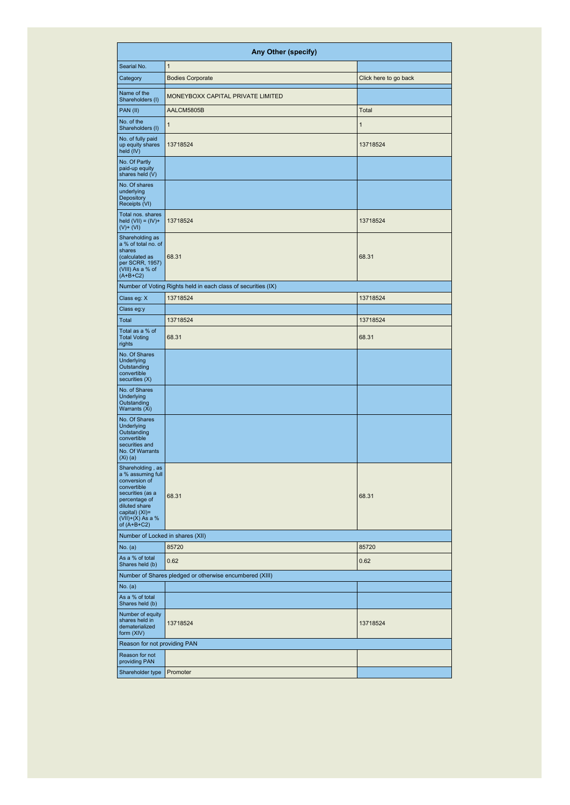|                                                                                                                                                                                      | Any Other (specify)                                           |                       |
|--------------------------------------------------------------------------------------------------------------------------------------------------------------------------------------|---------------------------------------------------------------|-----------------------|
| Searial No.                                                                                                                                                                          | $\overline{1}$                                                |                       |
| Category                                                                                                                                                                             | <b>Bodies Corporate</b>                                       | Click here to go back |
| Name of the<br>Shareholders (I)                                                                                                                                                      | MONEYBOXX CAPITAL PRIVATE LIMITED                             |                       |
| PAN (II)                                                                                                                                                                             | AALCM5805B                                                    | Total                 |
| No. of the<br>Shareholders (I)                                                                                                                                                       | 1                                                             | 1                     |
| No. of fully paid<br>up equity shares<br>held (IV)                                                                                                                                   | 13718524                                                      | 13718524              |
| No. Of Partly<br>paid-up equity<br>shares held (V)                                                                                                                                   |                                                               |                       |
| No. Of shares<br>underlying<br>Depository<br>Receipts (VI)                                                                                                                           |                                                               |                       |
| Total nos. shares<br>held $(VII) = (IV) +$<br>$(V)$ + $(VI)$                                                                                                                         | 13718524                                                      | 13718524              |
| Shareholding as<br>a % of total no. of<br>shares<br>(calculated as<br>per SCRR, 1957)<br>(VIII) As a % of<br>$(A+B+C2)$                                                              | 68.31                                                         | 68.31                 |
|                                                                                                                                                                                      | Number of Voting Rights held in each class of securities (IX) |                       |
| Class eg: X                                                                                                                                                                          | 13718524                                                      | 13718524              |
| Class eg:y                                                                                                                                                                           |                                                               |                       |
| Total                                                                                                                                                                                | 13718524                                                      | 13718524              |
| Total as a % of<br><b>Total Voting</b><br>rights                                                                                                                                     | 68.31                                                         | 68.31                 |
| No. Of Shares<br><b>Underlying</b><br>Outstanding<br>convertible<br>securities (X)                                                                                                   |                                                               |                       |
| No. of Shares<br><b>Underlying</b><br>Outstanding<br>Warrants (Xi)                                                                                                                   |                                                               |                       |
| No. Of Shares<br>Underlying<br>Outstanding<br>convertible<br>securities and<br>No. Of Warrants<br>$(Xi)$ (a)                                                                         |                                                               |                       |
| Shareholding, as<br>a % assuming full<br>conversion of<br>convertible<br>securities (as a<br>percentage of<br>diluted share<br>capital) (XI)=<br>$(VII)+(X)$ As a %<br>of $(A+B+C2)$ | 68.31                                                         | 68.31                 |
| Number of Locked in shares (XII)                                                                                                                                                     |                                                               |                       |
| No. (a)                                                                                                                                                                              | 85720                                                         | 85720                 |
| As a % of total<br>Shares held (b)                                                                                                                                                   | 0.62                                                          | 0.62                  |
|                                                                                                                                                                                      | Number of Shares pledged or otherwise encumbered (XIII)       |                       |
| No. (a)                                                                                                                                                                              |                                                               |                       |
| As a % of total<br>Shares held (b)                                                                                                                                                   |                                                               |                       |
| Number of equity<br>shares held in<br>dematerialized<br>form (XIV)                                                                                                                   | 13718524                                                      | 13718524              |
| Reason for not providing PAN                                                                                                                                                         |                                                               |                       |
| Reason for not<br>providing PAN                                                                                                                                                      |                                                               |                       |
| Shareholder type                                                                                                                                                                     | Promoter                                                      |                       |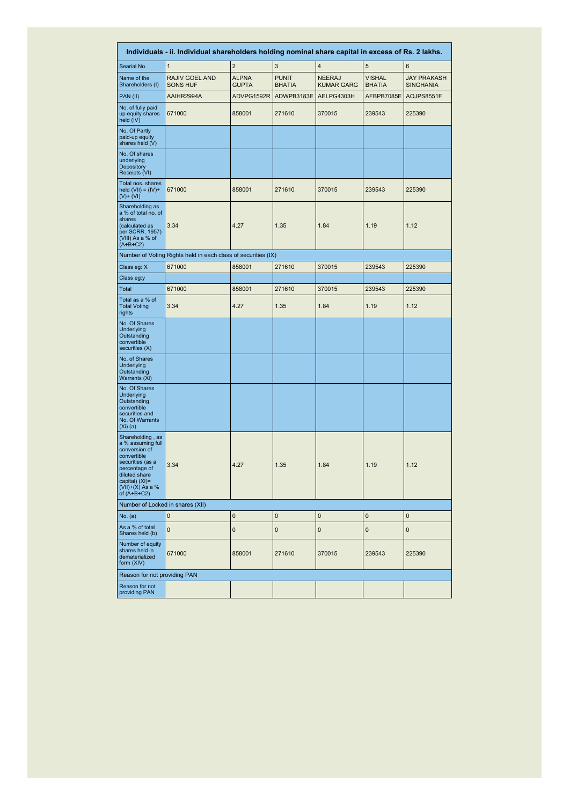|                                                                                                                                                                                      | Individuals - ii. Individual shareholders holding nominal share capital in excess of Rs. 2 lakhs. |                              |                               |                                    |                                |                                        |
|--------------------------------------------------------------------------------------------------------------------------------------------------------------------------------------|---------------------------------------------------------------------------------------------------|------------------------------|-------------------------------|------------------------------------|--------------------------------|----------------------------------------|
| Searial No.                                                                                                                                                                          | 1                                                                                                 | $\overline{2}$               | 3                             | $\overline{4}$                     | 5                              | 6                                      |
| Name of the<br>Shareholders (I)                                                                                                                                                      | RAJIV GOEL AND<br><b>SONS HUF</b>                                                                 | <b>ALPNA</b><br><b>GUPTA</b> | <b>PUNIT</b><br><b>BHATIA</b> | <b>NEERAJ</b><br><b>KUMAR GARG</b> | <b>VISHAL</b><br><b>BHATIA</b> | <b>JAY PRAKASH</b><br><b>SINGHANIA</b> |
| PAN (II)                                                                                                                                                                             | AAIHR2994A                                                                                        | ADVPG1592R                   | ADWPB3183E                    | AELPG4303H                         | AFBPB7085E                     | AOJPS8551F                             |
| No. of fully paid<br>up equity shares<br>held (IV)                                                                                                                                   | 671000                                                                                            | 858001                       | 271610                        | 370015                             | 239543                         | 225390                                 |
| No. Of Partly<br>paid-up equity<br>shares held (V)                                                                                                                                   |                                                                                                   |                              |                               |                                    |                                |                                        |
| No. Of shares<br>underlying<br>Depository<br>Receipts (VI)                                                                                                                           |                                                                                                   |                              |                               |                                    |                                |                                        |
| Total nos. shares<br>held $(VII) = (IV) +$<br>$(V)$ + $(VI)$                                                                                                                         | 671000                                                                                            | 858001                       | 271610                        | 370015                             | 239543                         | 225390                                 |
| Shareholding as<br>a % of total no. of<br>shares<br>(calculated as<br>per SCRR, 1957)<br>(VIII) As a % of<br>$(A+B+C2)$                                                              | 3.34                                                                                              | 4.27                         | 1.35                          | 1.84                               | 1.19                           | 1.12                                   |
|                                                                                                                                                                                      | Number of Voting Rights held in each class of securities (IX)                                     |                              |                               |                                    |                                |                                        |
| Class eg: X                                                                                                                                                                          | 671000                                                                                            | 858001                       | 271610                        | 370015                             | 239543                         | 225390                                 |
| Class eg:y                                                                                                                                                                           |                                                                                                   |                              |                               |                                    |                                |                                        |
| Total                                                                                                                                                                                | 671000                                                                                            | 858001                       | 271610                        | 370015                             | 239543                         | 225390                                 |
| Total as a % of<br><b>Total Voting</b><br>rights                                                                                                                                     | 3.34                                                                                              | 4.27                         | 1.35                          | 1.84                               | 1.19                           | 1.12                                   |
| No. Of Shares<br>Underlying<br>Outstanding<br>convertible<br>securities (X)                                                                                                          |                                                                                                   |                              |                               |                                    |                                |                                        |
| No. of Shares<br>Underlying<br>Outstanding<br>Warrants (Xi)                                                                                                                          |                                                                                                   |                              |                               |                                    |                                |                                        |
| No. Of Shares<br><b>Underlying</b><br>Outstanding<br>convertible<br>securities and<br>No. Of Warrants<br>$(Xi)$ (a)                                                                  |                                                                                                   |                              |                               |                                    |                                |                                        |
| Shareholding, as<br>a % assuming full<br>conversion of<br>convertible<br>securities (as a<br>percentage of<br>diluted share<br>capital) (XI)=<br>$(VII)+(X)$ As a %<br>of $(A+B+C2)$ | 3.34                                                                                              | 4.27                         | 1.35                          | 1.84                               | 1.19                           | 1.12                                   |
| Number of Locked in shares (XII)                                                                                                                                                     |                                                                                                   |                              |                               |                                    |                                |                                        |
| No. (a)                                                                                                                                                                              | $\mathbf 0$                                                                                       | $\overline{0}$               | $\mathbf{0}$                  | 0                                  | $\mathbf{0}$                   | $\mathbf{0}$                           |
| As a % of total<br>Shares held (b)                                                                                                                                                   | $\overline{0}$                                                                                    | $\mathbf 0$                  | $\mathbf 0$                   | $\mathbf 0$                        | $\pmb{0}$                      | $\pmb{0}$                              |
| Number of equity<br>shares held in<br>dematerialized<br>form (XIV)                                                                                                                   | 671000                                                                                            | 858001                       | 271610                        | 370015                             | 239543                         | 225390                                 |
| Reason for not providing PAN                                                                                                                                                         |                                                                                                   |                              |                               |                                    |                                |                                        |
| Reason for not<br>providing PAN                                                                                                                                                      |                                                                                                   |                              |                               |                                    |                                |                                        |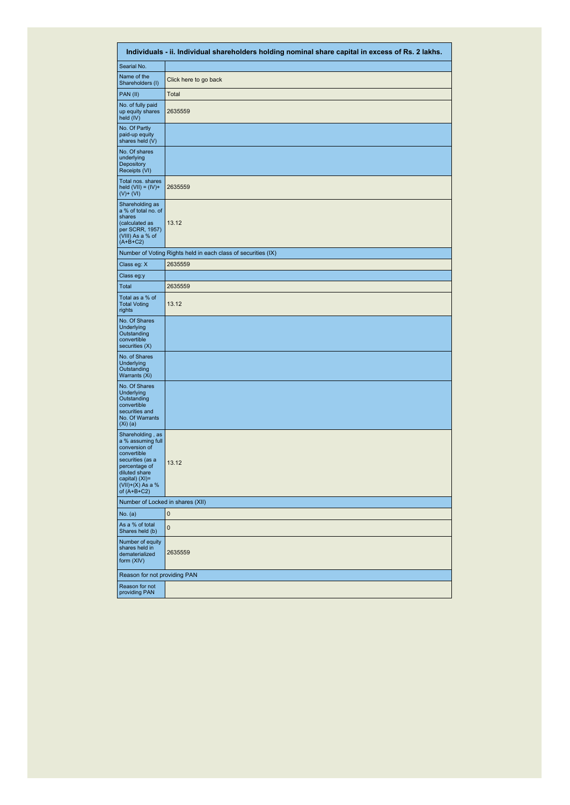|                                                                                                                                                                                      | Individuals - ii. Individual shareholders holding nominal share capital in excess of Rs. 2 lakhs. |
|--------------------------------------------------------------------------------------------------------------------------------------------------------------------------------------|---------------------------------------------------------------------------------------------------|
| Searial No.                                                                                                                                                                          |                                                                                                   |
| Name of the<br>Shareholders (I)                                                                                                                                                      | Click here to go back                                                                             |
| PAN (II)                                                                                                                                                                             | Total                                                                                             |
| No. of fully paid<br>up equity shares<br>held (IV)                                                                                                                                   | 2635559                                                                                           |
| No. Of Partly<br>paid-up equity<br>shares held (V)                                                                                                                                   |                                                                                                   |
| No. Of shares<br>underlying<br>Depository<br>Receipts (VI)                                                                                                                           |                                                                                                   |
| Total nos. shares<br>held $(VII) = (IV) +$<br>$(V)$ + $(VI)$                                                                                                                         | 2635559                                                                                           |
| Shareholding as<br>a % of total no. of<br>shares<br>(calculated as<br>per SCRR, 1957)<br>(VIII) As a % of<br>$(A+B+C2)$                                                              | 13.12                                                                                             |
|                                                                                                                                                                                      | Number of Voting Rights held in each class of securities (IX)                                     |
| Class eg: X                                                                                                                                                                          | 2635559                                                                                           |
| Class eg:y                                                                                                                                                                           |                                                                                                   |
| Total                                                                                                                                                                                | 2635559                                                                                           |
| Total as a % of<br><b>Total Voting</b><br>rights                                                                                                                                     | 13.12                                                                                             |
| No. Of Shares<br>Underlying<br>Outstanding<br>convertible<br>securities (X)                                                                                                          |                                                                                                   |
| No. of Shares<br><b>Underlying</b><br>Outstanding<br>Warrants (Xi)                                                                                                                   |                                                                                                   |
| No. Of Shares<br><b>Underlying</b><br>Outstanding<br>convertible<br>securities and<br>No. Of Warrants<br>$(Xi)$ (a)                                                                  |                                                                                                   |
| Shareholding, as<br>a % assuming full<br>conversion of<br>convertible<br>securities (as a<br>percentage of<br>diluted share<br>capital) (XI)=<br>$(VII)+(X)$ As a %<br>of $(A+B+C2)$ | 13.12                                                                                             |
| Number of Locked in shares (XII)                                                                                                                                                     |                                                                                                   |
| No. (a)                                                                                                                                                                              | $\mathbf{0}$                                                                                      |
| As a % of total<br>Shares held (b)                                                                                                                                                   | 0                                                                                                 |
| Number of equity<br>shares held in<br>dematerialized<br>form (XIV)                                                                                                                   | 2635559                                                                                           |
| Reason for not providing PAN                                                                                                                                                         |                                                                                                   |
| Reason for not<br>providing PAN                                                                                                                                                      |                                                                                                   |